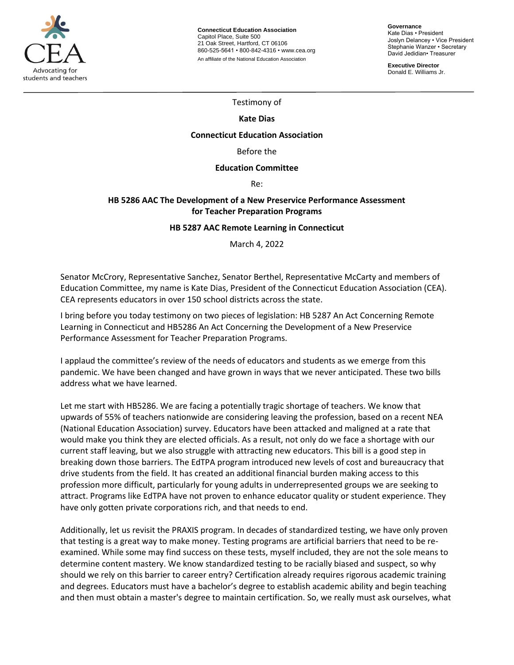

**Connecticut Education Association** Capitol Place, Suite 500 21 Oak Street, Hartford, CT 06106 860-525-5641 • 800-842-4316 • [www.cea.org](http://www.cea.org/) An affiliate of the National Education Association

**Governance** Kate Dias • President Joslyn Delancey • Vice President Stephanie Wanzer • Secretary David Jedidian• Treasurer

**Executive Director**  Donald E. Williams Jr.

Testimony of

## **Kate Dias**

#### **Connecticut Education Association**

Before the

#### **Education Committee**

Re:

# **HB 5286 AAC The Development of a New Preservice Performance Assessment for Teacher Preparation Programs**

### **HB 5287 AAC Remote Learning in Connecticut**

March 4, 2022

Senator McCrory, Representative Sanchez, Senator Berthel, Representative McCarty and members of Education Committee, my name is Kate Dias, President of the Connecticut Education Association (CEA). CEA represents educators in over 150 school districts across the state.

I bring before you today testimony on two pieces of legislation: HB 5287 An Act Concerning Remote Learning in Connecticut and HB5286 An Act Concerning the Development of a New Preservice Performance Assessment for Teacher Preparation Programs.

I applaud the committee's review of the needs of educators and students as we emerge from this pandemic. We have been changed and have grown in ways that we never anticipated. These two bills address what we have learned.

Let me start with HB5286. We are facing a potentially tragic shortage of teachers. We know that upwards of 55% of teachers nationwide are considering leaving the profession, based on a recent NEA (National Education Association) survey. Educators have been attacked and maligned at a rate that would make you think they are elected officials. As a result, not only do we face a shortage with our current staff leaving, but we also struggle with attracting new educators. This bill is a good step in breaking down those barriers. The EdTPA program introduced new levels of cost and bureaucracy that drive students from the field. It has created an additional financial burden making access to this profession more difficult, particularly for young adults in underrepresented groups we are seeking to attract. Programs like EdTPA have not proven to enhance educator quality or student experience. They have only gotten private corporations rich, and that needs to end.

Additionally, let us revisit the PRAXIS program. In decades of standardized testing, we have only proven that testing is a great way to make money. Testing programs are artificial barriers that need to be reexamined. While some may find success on these tests, myself included, they are not the sole means to determine content mastery. We know standardized testing to be racially biased and suspect, so why should we rely on this barrier to career entry? Certification already requires rigorous academic training and degrees. Educators must have a bachelor's degree to establish academic ability and begin teaching and then must obtain a master's degree to maintain certification. So, we really must ask ourselves, what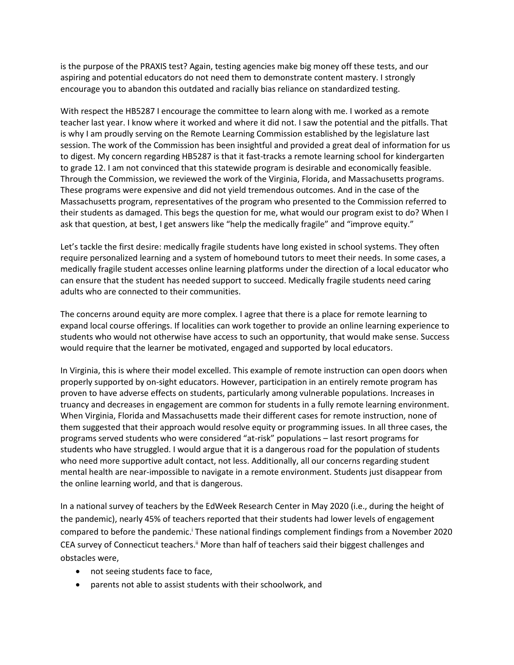is the purpose of the PRAXIS test? Again, testing agencies make big money off these tests, and our aspiring and potential educators do not need them to demonstrate content mastery. I strongly encourage you to abandon this outdated and racially bias reliance on standardized testing.

With respect the HB5287 I encourage the committee to learn along with me. I worked as a remote teacher last year. I know where it worked and where it did not. I saw the potential and the pitfalls. That is why I am proudly serving on the Remote Learning Commission established by the legislature last session. The work of the Commission has been insightful and provided a great deal of information for us to digest. My concern regarding HB5287 is that it fast-tracks a remote learning school for kindergarten to grade 12. I am not convinced that this statewide program is desirable and economically feasible. Through the Commission, we reviewed the work of the Virginia, Florida, and Massachusetts programs. These programs were expensive and did not yield tremendous outcomes. And in the case of the Massachusetts program, representatives of the program who presented to the Commission referred to their students as damaged. This begs the question for me, what would our program exist to do? When I ask that question, at best, I get answers like "help the medically fragile" and "improve equity."

Let's tackle the first desire: medically fragile students have long existed in school systems. They often require personalized learning and a system of homebound tutors to meet their needs. In some cases, a medically fragile student accesses online learning platforms under the direction of a local educator who can ensure that the student has needed support to succeed. Medically fragile students need caring adults who are connected to their communities.

The concerns around equity are more complex. I agree that there is a place for remote learning to expand local course offerings. If localities can work together to provide an online learning experience to students who would not otherwise have access to such an opportunity, that would make sense. Success would require that the learner be motivated, engaged and supported by local educators.

In Virginia, this is where their model excelled. This example of remote instruction can open doors when properly supported by on-sight educators. However, participation in an entirely remote program has proven to have adverse effects on students, particularly among vulnerable populations. Increases in truancy and decreases in engagement are common for students in a fully remote learning environment. When Virginia, Florida and Massachusetts made their different cases for remote instruction, none of them suggested that their approach would resolve equity or programming issues. In all three cases, the programs served students who were considered "at-risk" populations – last resort programs for students who have struggled. I would argue that it is a dangerous road for the population of students who need more supportive adult contact, not less. Additionally, all our concerns regarding student mental health are near-impossible to navigate in a remote environment. Students just disappear from the online learning world, and that is dangerous.

In a national survey of teachers by the EdWeek Research Center in May 2020 (i.e., during the height of the pandemic), nearly 45% of teachers reported that their students had lower levels of engagement compared to before the pandemic.<sup>i</sup> These national findings complement findings from a November 2020 CEA survey of Connecticut teachers.<sup>ii</sup> More than half of teachers said their biggest challenges and obstacles were,

- not seeing students face to face,
- parents not able to assist students with their schoolwork, and